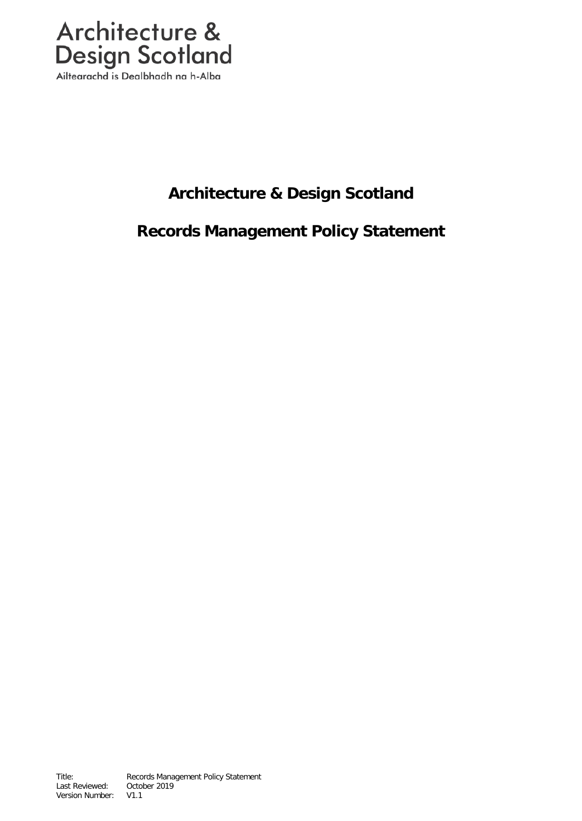

Ailtearachd is Dealbhadh na h-Alba

# **Architecture & Design Scotland**

# **Records Management Policy Statement**

Title: Records Management Policy Statement Last Reviewed: October 2019 Version Number: V1.1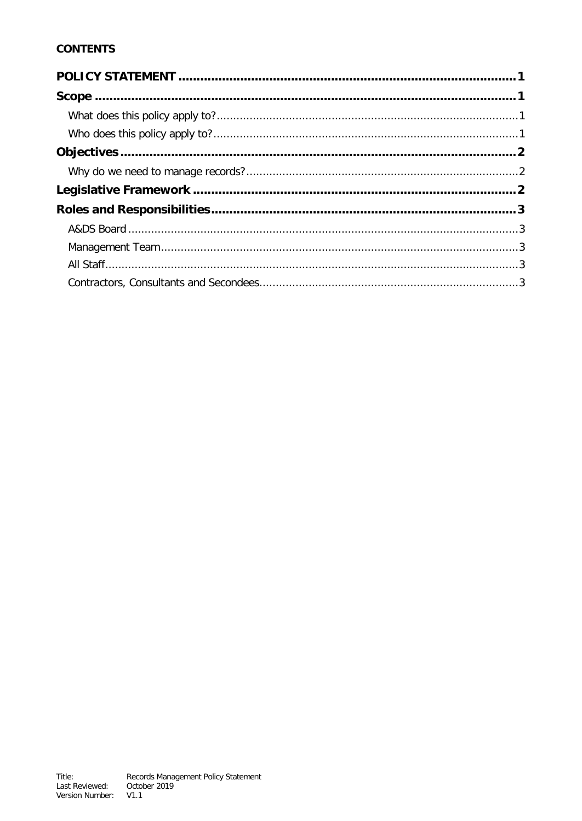# **CONTENTS**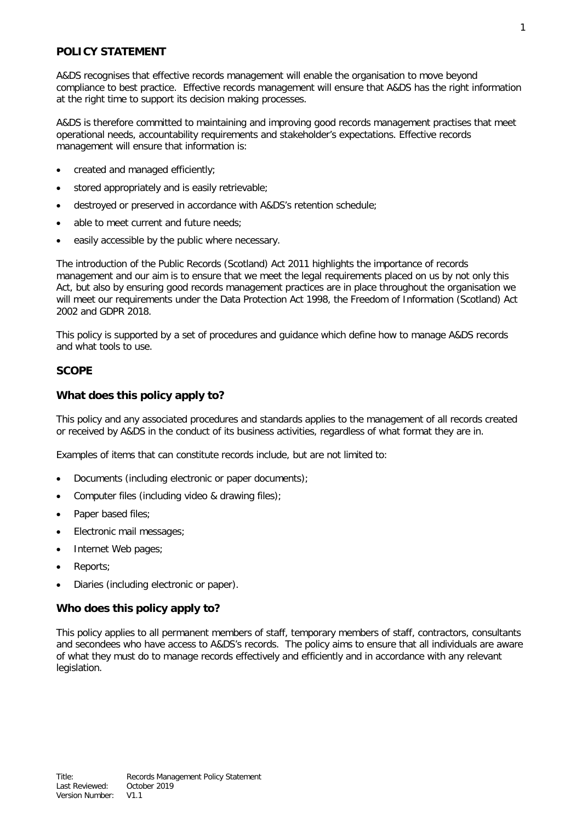## <span id="page-2-0"></span>**POLICY STATEMENT**

A&DS recognises that effective records management will enable the organisation to move beyond compliance to best practice. Effective records management will ensure that A&DS has the right information at the right time to support its decision making processes.

A&DS is therefore committed to maintaining and improving good records management practises that meet operational needs, accountability requirements and stakeholder's expectations. Effective records management will ensure that information is:

- created and managed efficiently;
- stored appropriately and is easily retrievable;
- destroyed or preserved in accordance with A&DS's retention schedule;
- able to meet current and future needs:
- easily accessible by the public where necessary.

The introduction of the Public Records (Scotland) Act 2011 highlights the importance of records management and our aim is to ensure that we meet the legal requirements placed on us by not only this Act, but also by ensuring good records management practices are in place throughout the organisation we will meet our requirements under the Data Protection Act 1998, the Freedom of Information (Scotland) Act 2002 and GDPR 2018.

This policy is supported by a set of procedures and guidance which define how to manage A&DS records and what tools to use.

# <span id="page-2-1"></span>**SCOPE**

# <span id="page-2-2"></span>**What does this policy apply to?**

This policy and any associated procedures and standards applies to the management of all records created or received by A&DS in the conduct of its business activities, regardless of what format they are in.

Examples of items that can constitute records include, but are not limited to:

- Documents (including electronic or paper documents);
- Computer files (including video & drawing files);
- Paper based files;
- Electronic mail messages;
- Internet Web pages;
- Reports;
- Diaries (including electronic or paper).

# <span id="page-2-3"></span>**Who does this policy apply to?**

This policy applies to all permanent members of staff, temporary members of staff, contractors, consultants and secondees who have access to A&DS's records. The policy aims to ensure that all individuals are aware of what they must do to manage records effectively and efficiently and in accordance with any relevant legislation.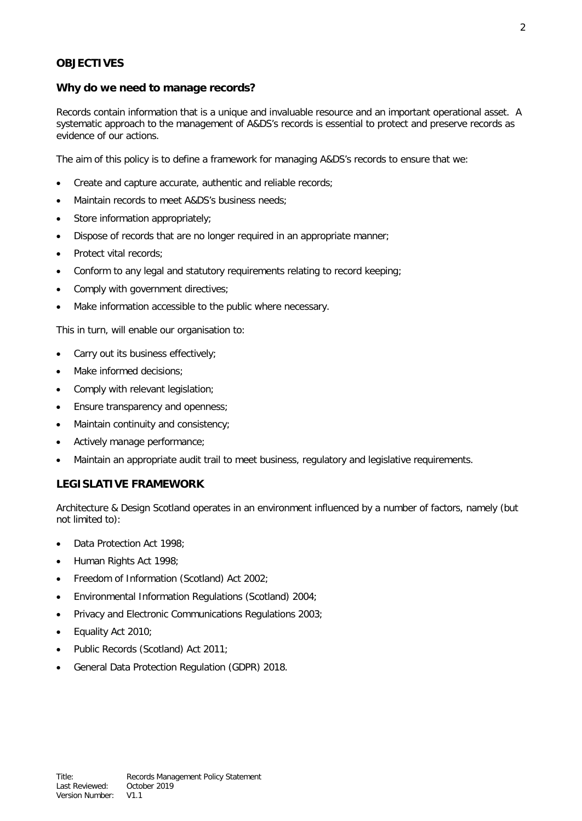## <span id="page-3-0"></span>**OBJECTIVES**

#### <span id="page-3-1"></span>**Why do we need to manage records?**

Records contain information that is a unique and invaluable resource and an important operational asset. A systematic approach to the management of A&DS's records is essential to protect and preserve records as evidence of our actions.

The aim of this policy is to define a framework for managing A&DS's records to ensure that we:

- Create and capture accurate, authentic and reliable records;
- Maintain records to meet A&DS's business needs;
- Store information appropriately;
- Dispose of records that are no longer required in an appropriate manner;
- Protect vital records;
- Conform to any legal and statutory requirements relating to record keeping;
- Comply with government directives;
- Make information accessible to the public where necessary.

This in turn, will enable our organisation to:

- Carry out its business effectively:
- Make informed decisions;
- Comply with relevant legislation;
- Ensure transparency and openness;
- Maintain continuity and consistency;
- Actively manage performance;
- Maintain an appropriate audit trail to meet business, regulatory and legislative requirements.

#### <span id="page-3-2"></span>**LEGISLATIVE FRAMEWORK**

Architecture & Design Scotland operates in an environment influenced by a number of factors, namely (but not limited to):

- Data Protection Act 1998;
- Human Rights Act 1998;
- Freedom of Information (Scotland) Act 2002;
- Environmental Information Regulations (Scotland) 2004;
- Privacy and Electronic Communications Regulations 2003;
- Equality Act 2010;
- Public Records (Scotland) Act 2011;
- General Data Protection Regulation (GDPR) 2018.